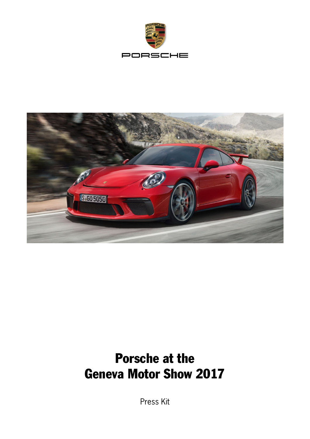



# Porsche at the Geneva Motor Show 2017

Press Kit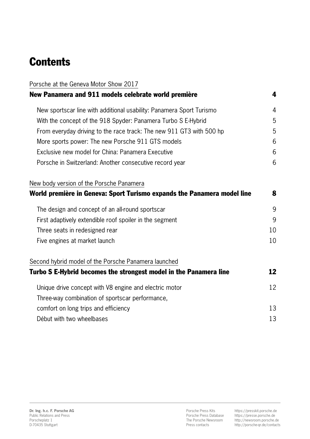# **Contents**

| Porsche at the Geneva Motor Show 2017                                   |    |
|-------------------------------------------------------------------------|----|
| New Panamera and 911 models celebrate world première                    | 4  |
| New sportscar line with additional usability: Panamera Sport Turismo    | 4  |
| With the concept of the 918 Spyder: Panamera Turbo S E-Hybrid           | 5  |
| From everyday driving to the race track: The new 911 GT3 with 500 hp    | 5  |
| More sports power: The new Porsche 911 GTS models                       | 6  |
| Exclusive new model for China: Panamera Executive                       | 6  |
| Porsche in Switzerland: Another consecutive record year                 | 6  |
| New body version of the Porsche Panamera                                |    |
| World première in Geneva: Sport Turismo expands the Panamera model line | 8  |
| The design and concept of an all-round sportscar                        | 9  |
| First adaptively extendible roof spoiler in the segment                 | 9  |
| Three seats in redesigned rear                                          | 10 |
| Five engines at market launch                                           | 10 |
| Second hybrid model of the Porsche Panamera launched                    |    |
| Turbo S E-Hybrid becomes the strongest model in the Panamera line       | 12 |
| Unique drive concept with V8 engine and electric motor                  | 12 |
| Three-way combination of sportscar performance,                         |    |
| comfort on long trips and efficiency                                    | 13 |
| Début with two wheelbases                                               | 13 |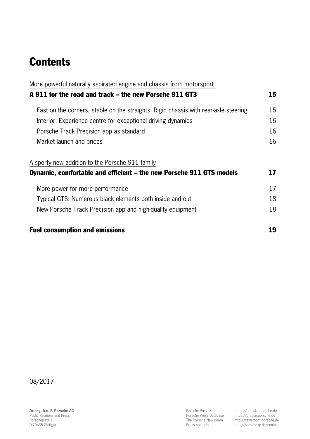# **Contents**

| More powerful naturally aspirated engine and chassis from motorsport                |    |
|-------------------------------------------------------------------------------------|----|
| A 911 for the road and track – the new Porsche 911 GT3                              | 15 |
| Fast on the corners, stable on the straights: Rigid chassis with rear-axle steering | 15 |
| Interior: Experience centre for exceptional driving dynamics                        | 16 |
| Porsche Track Precision app as standard                                             | 16 |
| Market launch and prices                                                            | 16 |
| A sporty new addition to the Porsche 911 family                                     |    |
| Dynamic, comfortable and efficient – the new Porsche 911 GTS models                 | 17 |
| More power for more performance                                                     | 17 |
| Typical GTS: Numerous black elements both inside and out                            | 18 |
| New Porsche Track Precision app and high-quality equipment                          | 18 |
| <b>Fuel consumption and emissions</b>                                               | 19 |

08/2017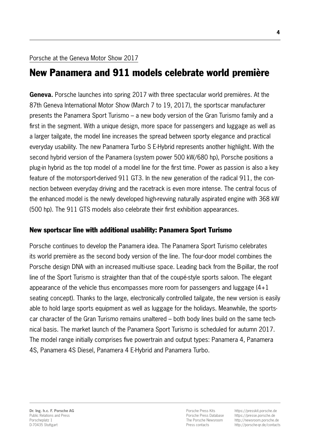# New Panamera and 911 models celebrate world première

Geneva. Porsche launches into spring 2017 with three spectacular world premières. At the 87th Geneva International Motor Show (March 7 to 19, 2017), the sportscar manufacturer presents the Panamera Sport Turismo – a new body version of the Gran Turismo family and a first in the segment. With a unique design, more space for passengers and luggage as well as a larger tailgate, the model line increases the spread between sporty elegance and practical everyday usability. The new Panamera Turbo S E-Hybrid represents another highlight. With the second hybrid version of the Panamera (system power 500 kW/680 hp), Porsche positions a plug-in hybrid as the top model of a model line for the first time. Power as passion is also a key feature of the motorsport-derived 911 GT3. In the new generation of the radical 911, the connection between everyday driving and the racetrack is even more intense. The central focus of the enhanced model is the newly developed high-revving naturally aspirated engine with 368 kW (500 hp). The 911 GTS models also celebrate their first exhibition appearances.

# New sportscar line with additional usability: Panamera Sport Turismo

Porsche continues to develop the Panamera idea. The Panamera Sport Turismo celebrates its world première as the second body version of the line. The four-door model combines the Porsche design DNA with an increased multi-use space. Leading back from the B-pillar, the roof line of the Sport Turismo is straighter than that of the coupé-style sports saloon. The elegant appearance of the vehicle thus encompasses more room for passengers and luggage (4+1 seating concept). Thanks to the large, electronically controlled tailgate, the new version is easily able to hold large sports equipment as well as luggage for the holidays. Meanwhile, the sportscar character of the Gran Turismo remains unaltered – both body lines build on the same technical basis. The market launch of the Panamera Sport Turismo is scheduled for autumn 2017. The model range initially comprises five powertrain and output types: Panamera 4, Panamera 4S, Panamera 4S Diesel, Panamera 4 E-Hybrid and Panamera Turbo.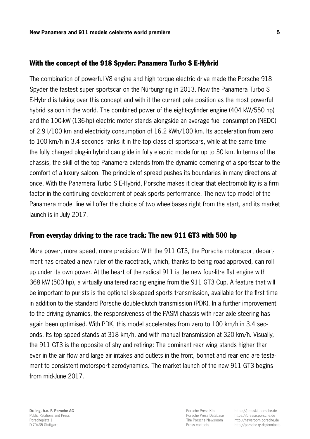### With the concept of the 918 Spyder: Panamera Turbo S E-Hybrid

The combination of powerful V8 engine and high torque electric drive made the Porsche 918 Spyder the fastest super sportscar on the Nürburgring in 2013. Now the Panamera Turbo S E-Hybrid is taking over this concept and with it the current pole position as the most powerful hybrid saloon in the world. The combined power of the eight-cylinder engine (404 kW/550 hp) and the 100-kW (136-hp) electric motor stands alongside an average fuel consumption (NEDC) of 2.9 l/100 km and electricity consumption of 16.2 kWh/100 km. Its acceleration from zero to 100 km/h in 3.4 seconds ranks it in the top class of sportscars, while at the same time the fully charged plug-in hybrid can glide in fully electric mode for up to 50 km. In terms of the chassis, the skill of the top Panamera extends from the dynamic cornering of a sportscar to the comfort of a luxury saloon. The principle of spread pushes its boundaries in many directions at once. With the Panamera Turbo S E-Hybrid, Porsche makes it clear that electromobility is a firm factor in the continuing development of peak sports performance. The new top model of the Panamera model line will offer the choice of two wheelbases right from the start, and its market launch is in July 2017.

## From everyday driving to the race track: The new 911 GT3 with 500 hp

More power, more speed, more precision: With the 911 GT3, the Porsche motorsport department has created a new ruler of the racetrack, which, thanks to being road-approved, can roll up under its own power. At the heart of the radical 911 is the new four-litre flat engine with 368 kW (500 hp), a virtually unaltered racing engine from the 911 GT3 Cup. A feature that will be important to purists is the optional six-speed sports transmission, available for the first time in addition to the standard Porsche double-clutch transmission (PDK). In a further improvement to the driving dynamics, the responsiveness of the PASM chassis with rear axle steering has again been optimised. With PDK, this model accelerates from zero to 100 km/h in 3.4 seconds. Its top speed stands at 318 km/h, and with manual transmission at 320 km/h. Visually, the 911 GT3 is the opposite of shy and retiring: The dominant rear wing stands higher than ever in the air flow and large air intakes and outlets in the front, bonnet and rear end are testament to consistent motorsport aerodynamics. The market launch of the new 911 GT3 begins from mid-June 2017.

Porsche Press Kits Porsche Press Database The Porsche Newsroom Press contacts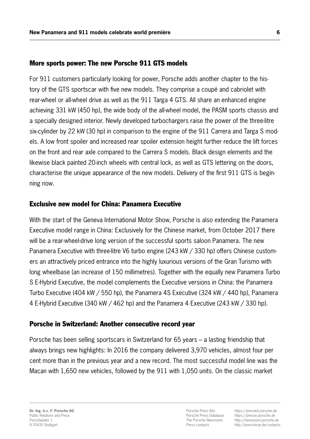#### More sports power: The new Porsche 911 GTS models

For 911 customers particularly looking for power, Porsche adds another chapter to the history of the GTS sportscar with five new models. They comprise a coupé and cabriolet with rear-wheel or all-wheel drive as well as the 911 Targa 4 GTS. All share an enhanced engine achieving 331 kW (450 hp), the wide body of the all-wheel model, the PASM sports chassis and a specially designed interior. Newly developed turbochargers raise the power of the three-litre six-cylinder by 22 kW (30 hp) in comparison to the engine of the 911 Carrera and Targa S models. A low front spoiler and increased rear spoiler extension height further reduce the lift forces on the front and rear axle compared to the Carrera S models. Black design elements and the likewise black painted 20-inch wheels with central lock, as well as GTS lettering on the doors, characterise the unique appearance of the new models. Delivery of the first 911 GTS is beginning now.

#### Exclusive new model for China: Panamera Executive

With the start of the Geneva International Motor Show, Porsche is also extending the Panamera Executive model range in China: Exclusively for the Chinese market, from October 2017 there will be a rear-wheel-drive long version of the successful sports saloon Panamera. The new Panamera Executive with three-litre V6 turbo engine (243 kW / 330 hp) offers Chinese customers an attractively priced entrance into the highly luxurious versions of the Gran Turismo with long wheelbase (an increase of 150 millimetres). Together with the equally new Panamera Turbo S E-Hybrid Executive, the model complements the Executive versions in China: the Panamera Turbo Executive (404 kW / 550 hp), the Panamera 4S Executive (324 kW / 440 hp), Panamera 4 E-Hybrid Executive (340 kW / 462 hp) and the Panamera 4 Executive (243 kW / 330 hp).

#### Porsche in Switzerland: Another consecutive record year

Porsche has been selling sportscars in Switzerland for 65 years – a lasting friendship that always brings new highlights: In 2016 the company delivered 3,970 vehicles, almost four per cent more than in the previous year and a new record. The most successful model line was the Macan with 1,650 new vehicles, followed by the 911 with 1,050 units. On the classic market

Porsche Press Kits Porsche Press Database The Porsche Newsroom Press contacts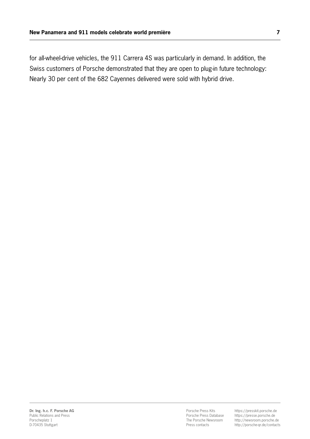for all-wheel-drive vehicles, the 911 Carrera 4S was particularly in demand. In addition, the Swiss customers of Porsche demonstrated that they are open to plug-in future technology: Nearly 30 per cent of the 682 Cayennes delivered were sold with hybrid drive.

Porsche Press Kits Porsche Press Database The Porsche Newsroom Press contacts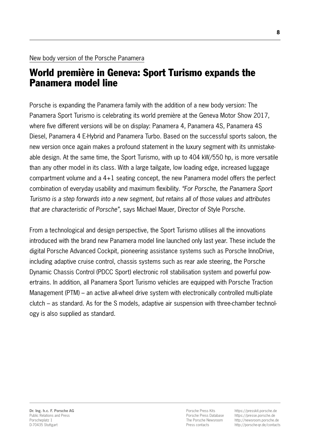# World première in Geneva: Sport Turismo expands the Panamera model line

Porsche is expanding the Panamera family with the addition of a new body version: The Panamera Sport Turismo is celebrating its world première at the Geneva Motor Show 2017, where five different versions will be on display: Panamera 4, Panamera 4S, Panamera 4S Diesel, Panamera 4 E-Hybrid and Panamera Turbo. Based on the successful sports saloon, the new version once again makes a profound statement in the luxury segment with its unmistakeable design. At the same time, the Sport Turismo, with up to 404 kW/550 hp, is more versatile than any other model in its class. With a large tailgate, low loading edge, increased luggage compartment volume and a 4+1 seating concept, the new Panamera model offers the perfect combination of everyday usability and maximum flexibility. *"For Porsche, the Panamera Sport Turismo is a step forwards into a new segment, but retains all of those values and attributes that are characteristic of Porsche"*, says Michael Mauer, Director of Style Porsche.

From a technological and design perspective, the Sport Turismo utilises all the innovations introduced with the brand new Panamera model line launched only last year. These include the digital Porsche Advanced Cockpit, pioneering assistance systems such as Porsche InnoDrive, including adaptive cruise control, chassis systems such as rear axle steering, the Porsche Dynamic Chassis Control (PDCC Sport) electronic roll stabilisation system and powerful powertrains. In addition, all Panamera Sport Turismo vehicles are equipped with Porsche Traction Management (PTM) – an active all-wheel drive system with electronically controlled multi-plate clutch – as standard. As for the S models, adaptive air suspension with three-chamber technology is also supplied as standard.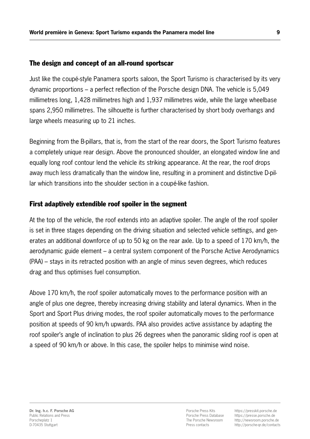# The design and concept of an all-round sportscar

Just like the coupé-style Panamera sports saloon, the Sport Turismo is characterised by its very dynamic proportions – a perfect reflection of the Porsche design DNA. The vehicle is 5,049 millimetres long, 1,428 millimetres high and 1,937 millimetres wide, while the large wheelbase spans 2,950 millimetres. The silhouette is further characterised by short body overhangs and large wheels measuring up to 21 inches.

Beginning from the B-pillars, that is, from the start of the rear doors, the Sport Turismo features a completely unique rear design. Above the pronounced shoulder, an elongated window line and equally long roof contour lend the vehicle its striking appearance. At the rear, the roof drops away much less dramatically than the window line, resulting in a prominent and distinctive D-pillar which transitions into the shoulder section in a coupé-like fashion.

# First adaptively extendible roof spoiler in the segment

At the top of the vehicle, the roof extends into an adaptive spoiler. The angle of the roof spoiler is set in three stages depending on the driving situation and selected vehicle settings, and generates an additional downforce of up to 50 kg on the rear axle. Up to a speed of 170 km/h, the aerodynamic guide element – a central system component of the Porsche Active Aerodynamics (PAA) – stays in its retracted position with an angle of minus seven degrees, which reduces drag and thus optimises fuel consumption.

Above 170 km/h, the roof spoiler automatically moves to the performance position with an angle of plus one degree, thereby increasing driving stability and lateral dynamics. When in the Sport and Sport Plus driving modes, the roof spoiler automatically moves to the performance position at speeds of 90 km/h upwards. PAA also provides active assistance by adapting the roof spoiler's angle of inclination to plus 26 degrees when the panoramic sliding roof is open at a speed of 90 km/h or above. In this case, the spoiler helps to minimise wind noise.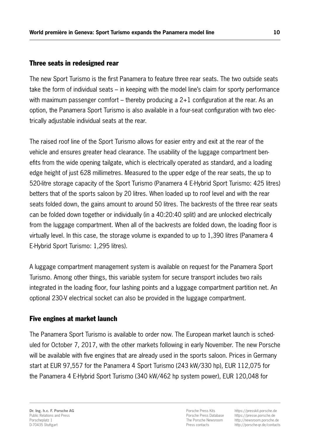# Three seats in redesigned rear

The new Sport Turismo is the first Panamera to feature three rear seats. The two outside seats take the form of individual seats – in keeping with the model line's claim for sporty performance with maximum passenger comfort – thereby producing a  $2+1$  configuration at the rear. As an option, the Panamera Sport Turismo is also available in a four-seat configuration with two electrically adjustable individual seats at the rear.

The raised roof line of the Sport Turismo allows for easier entry and exit at the rear of the vehicle and ensures greater head clearance. The usability of the luggage compartment benefits from the wide opening tailgate, which is electrically operated as standard, and a loading edge height of just 628 millimetres. Measured to the upper edge of the rear seats, the up to 520-litre storage capacity of the Sport Turismo (Panamera 4 E-Hybrid Sport Turismo: 425 litres) betters that of the sports saloon by 20 litres. When loaded up to roof level and with the rear seats folded down, the gains amount to around 50 litres. The backrests of the three rear seats can be folded down together or individually (in a 40:20:40 split) and are unlocked electrically from the luggage compartment. When all of the backrests are folded down, the loading floor is virtually level. In this case, the storage volume is expanded to up to 1,390 litres (Panamera 4 E-Hybrid Sport Turismo: 1,295 litres).

A luggage compartment management system is available on request for the Panamera Sport Turismo. Among other things, this variable system for secure transport includes two rails integrated in the loading floor, four lashing points and a luggage compartment partition net. An optional 230-V electrical socket can also be provided in the luggage compartment.

# Five engines at market launch

The Panamera Sport Turismo is available to order now. The European market launch is scheduled for October 7, 2017, with the other markets following in early November. The new Porsche will be available with five engines that are already used in the sports saloon. Prices in Germany start at EUR 97,557 for the Panamera 4 Sport Turismo (243 kW/330 hp), EUR 112,075 for the Panamera 4 E-Hybrid Sport Turismo (340 kW/462 hp system power), EUR 120,048 for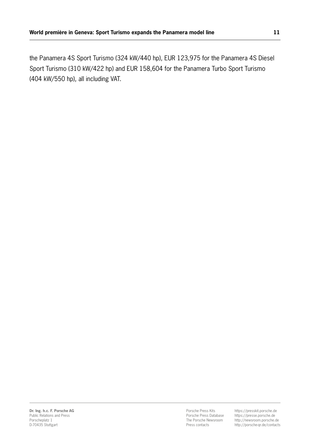the Panamera 4S Sport Turismo (324 kW/440 hp), EUR 123,975 for the Panamera 4S Diesel Sport Turismo (310 kW/422 hp) and EUR 158,604 for the Panamera Turbo Sport Turismo (404 kW/550 hp), all including VAT.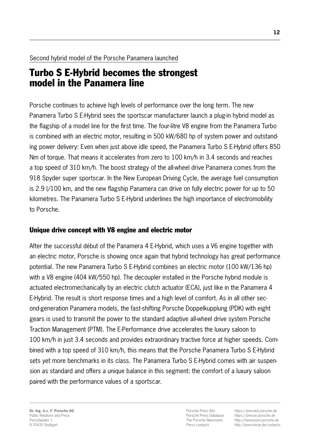# Second hybrid model of the Porsche Panamera launched

# Turbo S E-Hybrid becomes the strongest model in the Panamera line

Porsche continues to achieve high levels of performance over the long term. The new Panamera Turbo S E-Hybrid sees the sportscar manufacturer launch a plug-in hybrid model as the flagship of a model line for the first time. The four-litre V8 engine from the Panamera Turbo is combined with an electric motor, resulting in 500 kW/680 hp of system power and outstanding power delivery: Even when just above idle speed, the Panamera Turbo S E-Hybrid offers 850 Nm of torque. That means it accelerates from zero to 100 km/h in 3.4 seconds and reaches a top speed of 310 km/h. The boost strategy of the all-wheel drive Panamera comes from the 918 Spyder super sportscar. In the New European Driving Cycle, the average fuel consumption is 2.9 l/100 km, and the new flagship Panamera can drive on fully electric power for up to 50 kilometres. The Panamera Turbo S E-Hybrid underlines the high importance of electromobility to Porsche.

# Unique drive concept with V8 engine and electric motor

After the successful début of the Panamera 4 E-Hybrid, which uses a V6 engine together with an electric motor, Porsche is showing once again that hybrid technology has great performance potential. The new Panamera Turbo S E-Hybrid combines an electric motor (100 kW/136 hp) with a V8 engine (404 kW/550 hp). The decoupler installed in the Porsche hybrid module is actuated electromechanically by an electric clutch actuator (ECA), just like in the Panamera 4 E-Hybrid. The result is short response times and a high level of comfort. As in all other second-generation Panamera models, the fast-shifting Porsche Doppelkupplung (PDK) with eight gears is used to transmit the power to the standard adaptive all-wheel drive system Porsche Traction Management (PTM). The E-Performance drive accelerates the luxury saloon to 100 km/h in just 3.4 seconds and provides extraordinary tractive force at higher speeds. Combined with a top speed of 310 km/h, this means that the Porsche Panamera Turbo S E-Hybrid sets yet more benchmarks in its class. The Panamera Turbo S E-Hybrid comes with air suspension as standard and offers a unique balance in this segment: the comfort of a luxury saloon paired with the performance values of a sportscar.

Porsche Press Kits Porsche Press Database The Porsche Newsroom Press contacts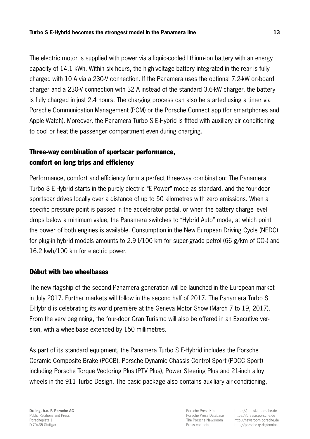The electric motor is supplied with power via a liquid-cooled lithium-ion battery with an energy capacity of 14.1 kWh. Within six hours, the high-voltage battery integrated in the rear is fully charged with 10 A via a 230-V connection. If the Panamera uses the optional 7.2-kW on-board charger and a 230-V connection with 32 A instead of the standard 3.6-kW charger, the battery is fully charged in just 2.4 hours. The charging process can also be started using a timer via Porsche Communication Management (PCM) or the Porsche Connect app (for smartphones and Apple Watch). Moreover, the Panamera Turbo S E-Hybrid is fitted with auxiliary air conditioning to cool or heat the passenger compartment even during charging.

# Three-way combination of sportscar performance, comfort on long trips and efficiency

Performance, comfort and efficiency form a perfect three-way combination: The Panamera Turbo S E-Hybrid starts in the purely electric "E-Power" mode as standard, and the four-door sportscar drives locally over a distance of up to 50 kilometres with zero emissions. When a specific pressure point is passed in the accelerator pedal, or when the battery charge level drops below a minimum value, the Panamera switches to "Hybrid Auto" mode, at which point the power of both engines is available. Consumption in the New European Driving Cycle (NEDC) for plug-in hybrid models amounts to 2.9 l/100 km for super-grade petrol (66 g/km of  $CO<sub>2</sub>$ ) and 16.2 kwh/100 km for electric power.

## Début with two wheelbases

The new flagship of the second Panamera generation will be launched in the European market in July 2017. Further markets will follow in the second half of 2017. The Panamera Turbo S E-Hybrid is celebrating its world première at the Geneva Motor Show (March 7 to 19, 2017). From the very beginning, the four-door Gran Turismo will also be offered in an Executive version, with a wheelbase extended by 150 millimetres.

As part of its standard equipment, the Panamera Turbo S E-Hybrid includes the Porsche Ceramic Composite Brake (PCCB), Porsche Dynamic Chassis Control Sport (PDCC Sport) including Porsche Torque Vectoring Plus (PTV Plus), Power Steering Plus and 21-inch alloy wheels in the 911 Turbo Design. The basic package also contains auxiliary air-conditioning,

Porsche Press Kits Porsche Press Database The Porsche Newsroom Press contacts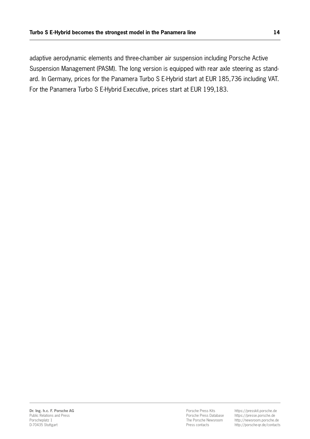adaptive aerodynamic elements and three-chamber air suspension including Porsche Active Suspension Management (PASM). The long version is equipped with rear axle steering as standard. In Germany, prices for the Panamera Turbo S E-Hybrid start at EUR 185,736 including VAT. For the Panamera Turbo S E-Hybrid Executive, prices start at EUR 199,183.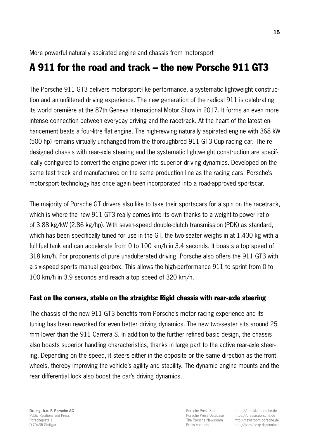More powerful naturally aspirated engine and chassis from motorsport

# A 911 for the road and track – the new Porsche 911 GT3

The Porsche 911 GT3 delivers motorsport-like performance, a systematic lightweight construction and an unfiltered driving experience. The new generation of the radical 911 is celebrating its world première at the 87th Geneva International Motor Show in 2017. It forms an even more intense connection between everyday driving and the racetrack. At the heart of the latest enhancement beats a four-litre flat engine. The high-revving naturally aspirated engine with 368 kW (500 hp) remains virtually unchanged from the thoroughbred 911 GT3 Cup racing car. The redesigned chassis with rear-axle steering and the systematic lightweight construction are specifically configured to convert the engine power into superior driving dynamics. Developed on the same test track and manufactured on the same production line as the racing cars, Porsche's motorsport technology has once again been incorporated into a road-approved sportscar.

The majority of Porsche GT drivers also like to take their sportscars for a spin on the racetrack, which is where the new 911 GT3 really comes into its own thanks to a weight-to-power ratio of 3.88 kg/kW (2.86 kg/hp). With seven-speed double-clutch transmission (PDK) as standard, which has been specifically tuned for use in the GT, the two-seater weighs in at 1,430 kg with a full fuel tank and can accelerate from 0 to 100 km/h in 3.4 seconds. It boasts a top speed of 318 km/h. For proponents of pure unadulterated driving, Porsche also offers the 911 GT3 with a six-speed sports manual gearbox. This allows the high-performance 911 to sprint from 0 to 100 km/h in 3.9 seconds and reach a top speed of 320 km/h.

# Fast on the corners, stable on the straights: Rigid chassis with rear-axle steering

The chassis of the new 911 GT3 benefits from Porsche's motor racing experience and its tuning has been reworked for even better driving dynamics. The new two-seater sits around 25 mm lower than the 911 Carrera S. In addition to the further refined basic design, the chassis also boasts superior handling characteristics, thanks in large part to the active rear-axle steering. Depending on the speed, it steers either in the opposite or the same direction as the front wheels, thereby improving the vehicle's agility and stability. The dynamic engine mounts and the rear differential lock also boost the car's driving dynamics.

Porsche Press Kits Porsche Press Database The Porsche Newsroom Press contacts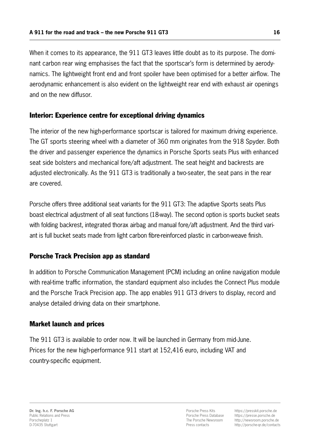When it comes to its appearance, the 911 GT3 leaves little doubt as to its purpose. The dominant carbon rear wing emphasises the fact that the sportscar's form is determined by aerodynamics. The lightweight front end and front spoiler have been optimised for a better airflow. The aerodynamic enhancement is also evident on the lightweight rear end with exhaust air openings and on the new diffusor.

## Interior: Experience centre for exceptional driving dynamics

The interior of the new high-performance sportscar is tailored for maximum driving experience. The GT sports steering wheel with a diameter of 360 mm originates from the 918 Spyder. Both the driver and passenger experience the dynamics in Porsche Sports seats Plus with enhanced seat side bolsters and mechanical fore/aft adjustment. The seat height and backrests are adjusted electronically. As the 911 GT3 is traditionally a two-seater, the seat pans in the rear are covered.

Porsche offers three additional seat variants for the 911 GT3: The adaptive Sports seats Plus boast electrical adjustment of all seat functions (18-way). The second option is sports bucket seats with folding backrest, integrated thorax airbag and manual fore/aft adjustment. And the third variant is full bucket seats made from light carbon fibre-reinforced plastic in carbon-weave finish.

# Porsche Track Precision app as standard

In addition to Porsche Communication Management (PCM) including an online navigation module with real-time traffic information, the standard equipment also includes the Connect Plus module and the Porsche Track Precision app. The app enables 911 GT3 drivers to display, record and analyse detailed driving data on their smartphone.

## Market launch and prices

The 911 GT3 is available to order now. It will be launched in Germany from mid-June. Prices for the new high-performance 911 start at 152,416 euro, including VAT and country-specific equipment.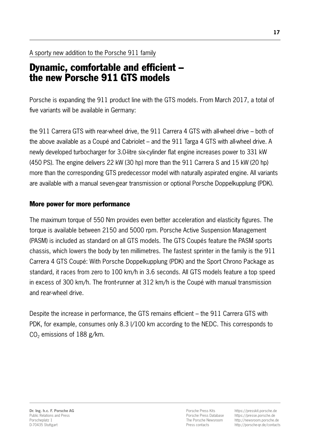# A sporty new addition to the Porsche 911 family

# Dynamic, comfortable and efficient – the new Porsche 911 GTS models

Porsche is expanding the 911 product line with the GTS models. From March 2017, a total of five variants will be available in Germany:

the 911 Carrera GTS with rear-wheel drive, the 911 Carrera 4 GTS with all-wheel drive – both of the above available as a Coupé and Cabriolet – and the 911 Targa 4 GTS with all-wheel drive. A newly developed turbocharger for 3.0-litre six-cylinder flat engine increases power to 331 kW (450 PS). The engine delivers 22 kW (30 hp) more than the 911 Carrera S and 15 kW (20 hp) more than the corresponding GTS predecessor model with naturally aspirated engine. All variants are available with a manual seven-gear transmission or optional Porsche Doppelkupplung (PDK).

# More power for more performance

The maximum torque of 550 Nm provides even better acceleration and elasticity figures. The torque is available between 2150 and 5000 rpm. Porsche Active Suspension Management (PASM) is included as standard on all GTS models. The GTS Coupés feature the PASM sports chassis, which lowers the body by ten millimetres. The fastest sprinter in the family is the 911 Carrera 4 GTS Coupé: With Porsche Doppelkupplung (PDK) and the Sport Chrono Package as standard, it races from zero to 100 km/h in 3.6 seconds. All GTS models feature a top speed in excess of 300 km/h. The front-runner at 312 km/h is the Coupé with manual transmission and rear-wheel drive.

Despite the increase in performance, the GTS remains efficient – the 911 Carrera GTS with PDK, for example, consumes only 8.3 l/100 km according to the NEDC. This corresponds to  $CO<sub>2</sub>$  emissions of 188 g/km.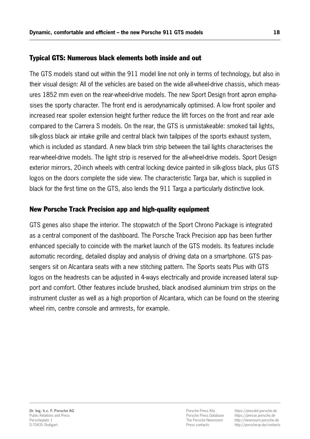## Typical GTS: Numerous black elements both inside and out

The GTS models stand out within the 911 model line not only in terms of technology, but also in their visual design: All of the vehicles are based on the wide all-wheel-drive chassis, which measures 1852 mm even on the rear-wheel-drive models. The new Sport Design front apron emphasises the sporty character. The front end is aerodynamically optimised. A low front spoiler and increased rear spoiler extension height further reduce the lift forces on the front and rear axle compared to the Carrera S models. On the rear, the GTS is unmistakeable: smoked tail lights, silk-gloss black air intake grille and central black twin tailpipes of the sports exhaust system, which is included as standard. A new black trim strip between the tail lights characterises the rear-wheel-drive models. The light strip is reserved for the all-wheel-drive models. Sport Design exterior mirrors, 20-inch wheels with central locking device painted in silk-gloss black, plus GTS logos on the doors complete the side view. The characteristic Targa bar, which is supplied in black for the first time on the GTS, also lends the 911 Targa a particularly distinctive look.

# New Porsche Track Precision app and high-quality equipment

GTS genes also shape the interior. The stopwatch of the Sport Chrono Package is integrated as a central component of the dashboard. The Porsche Track Precision app has been further enhanced specially to coincide with the market launch of the GTS models. Its features include automatic recording, detailed display and analysis of driving data on a smartphone. GTS passengers sit on Alcantara seats with a new stitching pattern. The Sports seats Plus with GTS logos on the headrests can be adjusted in 4-ways electrically and provide increased lateral support and comfort. Other features include brushed, black anodised aluminium trim strips on the instrument cluster as well as a high proportion of Alcantara, which can be found on the steering wheel rim, centre console and armrests, for example.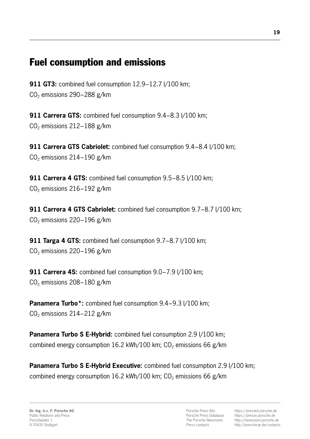# Fuel consumption and emissions

911 GT3: combined fuel consumption 12.9–12.7 I/100 km; CO2 emissions 290−288 g/km

911 Carrera GTS: combined fuel consumption 9.4–8.3 l/100 km; CO<sub>2</sub> emissions 212−188 g/km

911 Carrera GTS Cabriolet: combined fuel consumption 9.4–8.4 l/100 km; CO<sub>2</sub> emissions 214−190 g/km

911 Carrera 4 GTS: combined fuel consumption 9.5-8.5 l/100 km; CO<sub>2</sub> emissions 216−192 g/km

911 Carrera 4 GTS Cabriolet: combined fuel consumption 9.7–8.7 l/100 km; CO2 emissions 220−196 g/km

911 Targa 4 GTS: combined fuel consumption 9.7–8.7 l/100 km; CO2 emissions 220−196 g/km

911 Carrera 4S: combined fuel consumption 9.0–7.9 l/100 km; CO2 emissions 208−180 g/km

Panamera Turbo\*: combined fuel consumption 9.4–9.3 l/100 km; CO2 emissions 214−212 g/km

Panamera Turbo S E-Hybrid: combined fuel consumption 2.9 I/100 km; combined energy consumption 16.2 kWh/100 km;  $CO<sub>2</sub>$  emissions 66 g/km

Panamera Turbo S E-Hybrid Executive: combined fuel consumption 2.9 I/100 km; combined energy consumption 16.2 kWh/100 km;  $CO<sub>2</sub>$  emissions 66 g/km